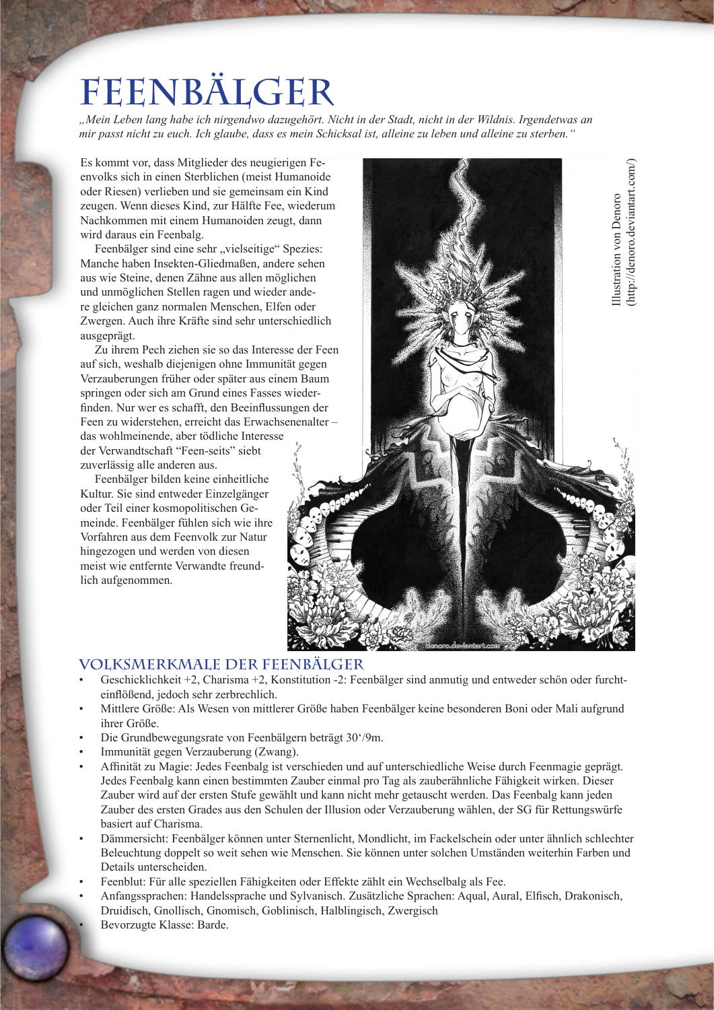## **Feenbälger**

*"Mein Leben lang habe ich nirgendwo dazugehört. Nicht in der Stadt, nicht in der Wildnis. Irgendetwas an mir passt nicht zu euch. Ich glaube, dass es mein Schicksal ist, alleine zu leben und alleine zu sterben."*

Es kommt vor, dass Mitglieder des neugierigen Feenvolks sich in einen Sterblichen (meist Humanoide oder Riesen) verlieben und sie gemeinsam ein Kind zeugen. Wenn dieses Kind, zur Hälfte Fee, wiederum Nachkommen mit einem Humanoiden zeugt, dann wird daraus ein Feenbalg.

Feenbälger sind eine sehr "vielseitige" Spezies: Manche haben Insekten-Gliedmaßen, andere sehen aus wie Steine, denen Zähne aus allen möglichen und unmöglichen Stellen ragen und wieder andere gleichen ganz normalen Menschen, Elfen oder Zwergen. Auch ihre Kräfte sind sehr unterschiedlich ausgeprägt.

Zu ihrem Pech ziehen sie so das Interesse der Feen auf sich, weshalb diejenigen ohne Immunität gegen Verzauberungen früher oder später aus einem Baum springen oder sich am Grund eines Fasses wiederfinden. Nur wer es schafft, den Beeinflussungen der Feen zu widerstehen, erreicht das Erwachsenenalter – das wohlmeinende, aber tödliche Interesse der Verwandtschaft "Feen-seits" siebt zuverlässig alle anderen aus.

Feenbälger bilden keine einheitliche Kultur. Sie sind entweder Einzelgänger oder Teil einer kosmopolitischen Gemeinde. Feenbälger fühlen sich wie ihre Vorfahren aus dem Feenvolk zur Natur hingezogen und werden von diesen meist wie entfernte Verwandte freundlich aufgenommen.



## **Volksmerkmale der Feenbälger**

- Geschicklichkeit +2, Charisma +2, Konstitution -2: Feenbälger sind anmutig und entweder schön oder furchteinflößend, jedoch sehr zerbrechlich.
- Mittlere Größe: Als Wesen von mittlerer Größe haben Feenbälger keine besonderen Boni oder Mali aufgrund ihrer Größe.
- Die Grundbewegungsrate von Feenbälgern beträgt 30'/9m.
- Immunität gegen Verzauberung (Zwang).
- Affinität zu Magie: Jedes Feenbalg ist verschieden und auf unterschiedliche Weise durch Feenmagie geprägt. Jedes Feenbalg kann einen bestimmten Zauber einmal pro Tag als zauberähnliche Fähigkeit wirken. Dieser Zauber wird auf der ersten Stufe gewählt und kann nicht mehr getauscht werden. Das Feenbalg kann jeden Zauber des ersten Grades aus den Schulen der Illusion oder Verzauberung wählen, der SG für Rettungswürfe basiert auf Charisma.
- Dämmersicht: Feenbälger können unter Sternenlicht, Mondlicht, im Fackelschein oder unter ähnlich schlechter Beleuchtung doppelt so weit sehen wie Menschen. Sie können unter solchen Umständen weiterhin Farben und Details unterscheiden.
- Feenblut: Für alle speziellen Fähigkeiten oder Effekte zählt ein Wechselbalg als Fee.
- Anfangssprachen: Handelssprache und Sylvanisch. Zusätzliche Sprachen: Aqual, Aural, Elfisch, Drakonisch, Druidisch, Gnollisch, Gnomisch, Goblinisch, Halblingisch, Zwergisch • Bevorzugte Klasse: Barde.